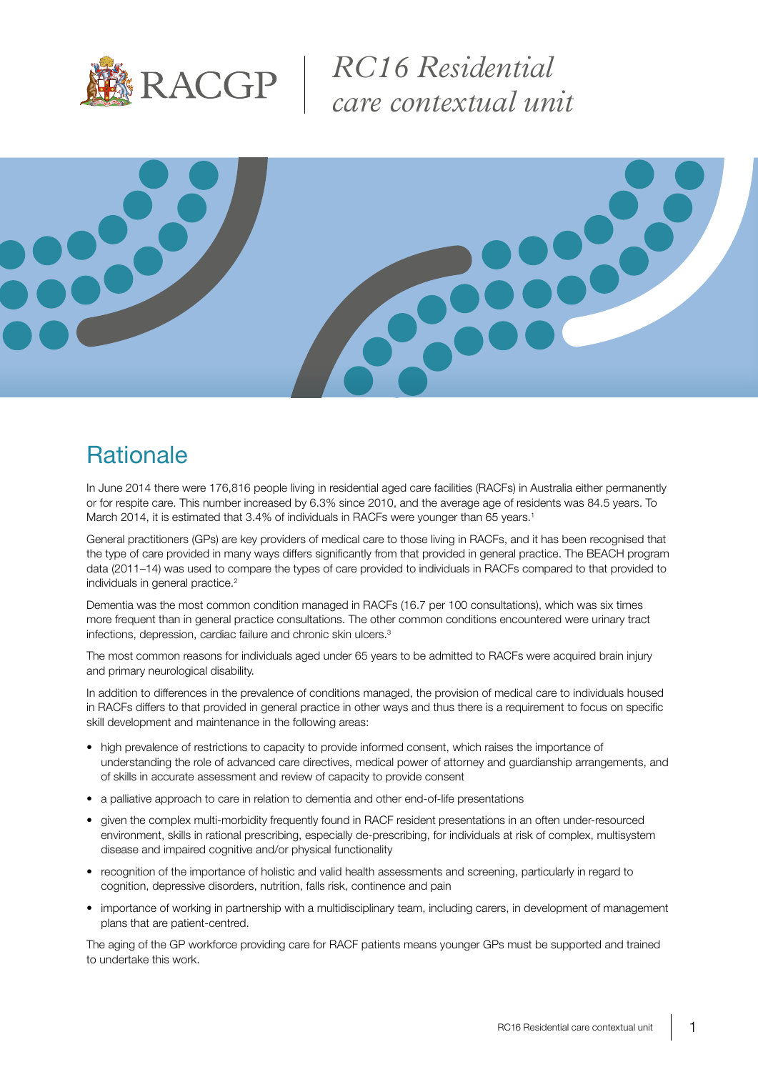

*RC16 Residential care contextual unit*



## **Rationale**

In June 2014 there were 176,816 people living in residential aged care facilities (RACFs) in Australia either permanently or for respite care. This number increased by 6.3% since 2010, and the average age of residents was 84.5 years. To March 2014, it is estimated that 3.4% of individuals in RACFs were younger than 65 years.<sup>1</sup>

General practitioners (GPs) are key providers of medical care to those living in RACFs, and it has been recognised that the type of care provided in many ways differs significantly from that provided in general practice. The BEACH program data (2011–14) was used to compare the types of care provided to individuals in RACFs compared to that provided to individuals in general practice.<sup>2</sup>

Dementia was the most common condition managed in RACFs (16.7 per 100 consultations), which was six times more frequent than in general practice consultations. The other common conditions encountered were urinary tract infections, depression, cardiac failure and chronic skin ulcers.<sup>3</sup>

The most common reasons for individuals aged under 65 years to be admitted to RACFs were acquired brain injury and primary neurological disability.

In addition to differences in the prevalence of conditions managed, the provision of medical care to individuals housed in RACFs differs to that provided in general practice in other ways and thus there is a requirement to focus on specific skill development and maintenance in the following areas:

- high prevalence of restrictions to capacity to provide informed consent, which raises the importance of understanding the role of advanced care directives, medical power of attorney and guardianship arrangements, and of skills in accurate assessment and review of capacity to provide consent
- a palliative approach to care in relation to dementia and other end-of-life presentations
- given the complex multi-morbidity frequently found in RACF resident presentations in an often under-resourced environment, skills in rational prescribing, especially de-prescribing, for individuals at risk of complex, multisystem disease and impaired cognitive and/or physical functionality
- recognition of the importance of holistic and valid health assessments and screening, particularly in regard to cognition, depressive disorders, nutrition, falls risk, continence and pain
- importance of working in partnership with a multidisciplinary team, including carers, in development of management plans that are patient-centred.

The aging of the GP workforce providing care for RACF patients means younger GPs must be supported and trained to undertake this work.